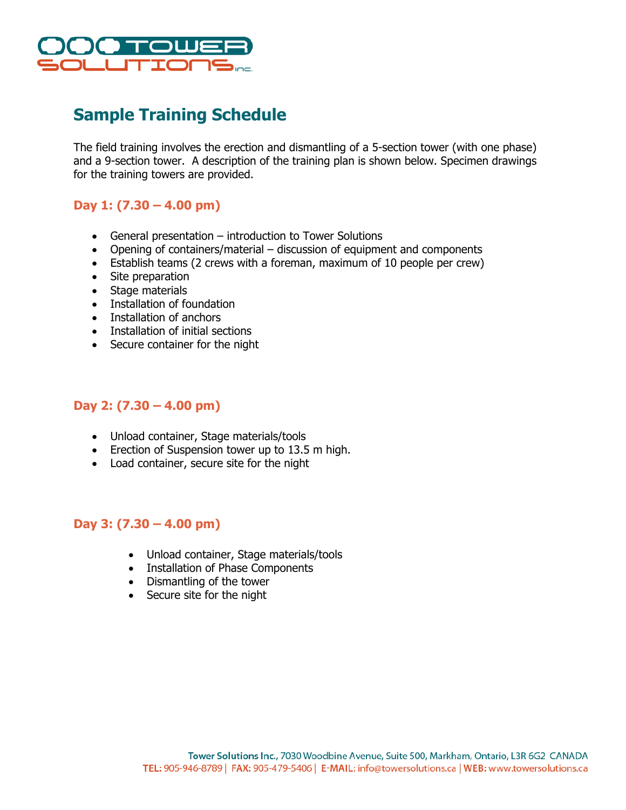

# **Sample Training Schedule**

The field training involves the erection and dismantling of a 5-section tower (with one phase) and a 9-section tower. A description of the training plan is shown below. Specimen drawings for the training towers are provided.

## **Day 1: (7.30 – 4.00 pm)**

- General presentation introduction to Tower Solutions
- Opening of containers/material discussion of equipment and components
- Establish teams (2 crews with a foreman, maximum of 10 people per crew)
- Site preparation
- Stage materials
- Installation of foundation
- Installation of anchors
- Installation of initial sections
- Secure container for the night

#### **Day 2: (7.30 – 4.00 pm)**

- Unload container, Stage materials/tools
- Erection of Suspension tower up to 13.5 m high.
- Load container, secure site for the night

#### **Day 3: (7.30 – 4.00 pm)**

- Unload container, Stage materials/tools
- Installation of Phase Components
- Dismantling of the tower
- Secure site for the night